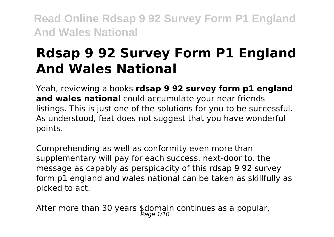# **Rdsap 9 92 Survey Form P1 England And Wales National**

Yeah, reviewing a books **rdsap 9 92 survey form p1 england and wales national** could accumulate your near friends listings. This is just one of the solutions for you to be successful. As understood, feat does not suggest that you have wonderful points.

Comprehending as well as conformity even more than supplementary will pay for each success. next-door to, the message as capably as perspicacity of this rdsap 9 92 survey form p1 england and wales national can be taken as skillfully as picked to act.

After more than 30 years \$domain continues as a popular,<br>Page 1/10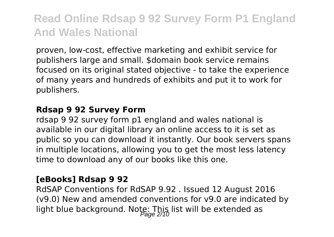proven, low-cost, effective marketing and exhibit service for publishers large and small. \$domain book service remains focused on its original stated objective - to take the experience of many years and hundreds of exhibits and put it to work for publishers.

#### **Rdsap 9 92 Survey Form**

rdsap 9 92 survey form p1 england and wales national is available in our digital library an online access to it is set as public so you can download it instantly. Our book servers spans in multiple locations, allowing you to get the most less latency time to download any of our books like this one.

### **[eBooks] Rdsap 9 92**

RdSAP Conventions for RdSAP 9.92 . Issued 12 August 2016 (v9.0) New and amended conventions for v9.0 are indicated by light blue background. Note: This list will be extended as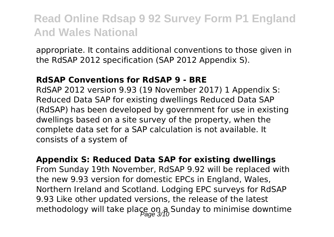appropriate. It contains additional conventions to those given in the RdSAP 2012 specification (SAP 2012 Appendix S).

### **RdSAP Conventions for RdSAP 9 - BRE**

RdSAP 2012 version 9.93 (19 November 2017) 1 Appendix S: Reduced Data SAP for existing dwellings Reduced Data SAP (RdSAP) has been developed by government for use in existing dwellings based on a site survey of the property, when the complete data set for a SAP calculation is not available. It consists of a system of

#### **Appendix S: Reduced Data SAP for existing dwellings**

From Sunday 19th November, RdSAP 9.92 will be replaced with the new 9.93 version for domestic EPCs in England, Wales, Northern Ireland and Scotland. Lodging EPC surveys for RdSAP 9.93 Like other updated versions, the release of the latest methodology will take place on a Sunday to minimise downtime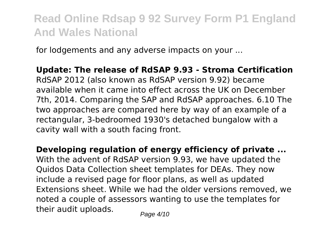for lodgements and any adverse impacts on your ...

**Update: The release of RdSAP 9.93 - Stroma Certification** RdSAP 2012 (also known as RdSAP version 9.92) became available when it came into effect across the UK on December 7th, 2014. Comparing the SAP and RdSAP approaches. 6.10 The two approaches are compared here by way of an example of a rectangular, 3-bedroomed 1930's detached bungalow with a cavity wall with a south facing front.

**Developing regulation of energy efficiency of private ...** With the advent of RdSAP version 9.93, we have updated the Quidos Data Collection sheet templates for DEAs. They now include a revised page for floor plans, as well as updated Extensions sheet. While we had the older versions removed, we noted a couple of assessors wanting to use the templates for their audit uploads.  $P_{\text{face 4/10}}$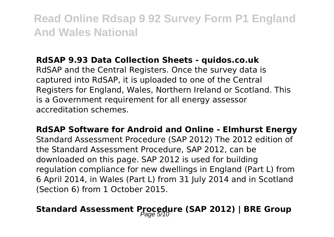### **RdSAP 9.93 Data Collection Sheets - quidos.co.uk**

RdSAP and the Central Registers. Once the survey data is captured into RdSAP, it is uploaded to one of the Central Registers for England, Wales, Northern Ireland or Scotland. This is a Government requirement for all energy assessor accreditation schemes.

**RdSAP Software for Android and Online - Elmhurst Energy** Standard Assessment Procedure (SAP 2012) The 2012 edition of the Standard Assessment Procedure, SAP 2012, can be downloaded on this page. SAP 2012 is used for building regulation compliance for new dwellings in England (Part L) from 6 April 2014, in Wales (Part L) from 31 July 2014 and in Scotland (Section 6) from 1 October 2015.

# **Standard Assessment Procedure (SAP 2012) | BRE Group**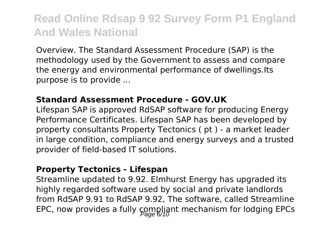Overview. The Standard Assessment Procedure (SAP) is the methodology used by the Government to assess and compare the energy and environmental performance of dwellings.Its purpose is to provide ...

### **Standard Assessment Procedure - GOV.UK**

Lifespan SAP is approved RdSAP software for producing Energy Performance Certificates. Lifespan SAP has been developed by property consultants Property Tectonics ( pt ) - a market leader in large condition, compliance and energy surveys and a trusted provider of field-based IT solutions.

#### **Property Tectonics - Lifespan**

Streamline updated to 9.92. Elmhurst Energy has upgraded its highly regarded software used by social and private landlords from RdSAP 9.91 to RdSAP 9.92, The software, called Streamline EPC, now provides a fully compliant mechanism for lodging EPCs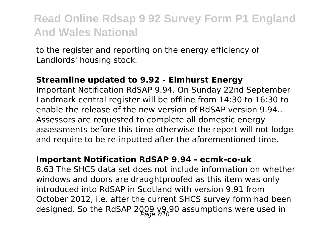to the register and reporting on the energy efficiency of Landlords' housing stock.

#### **Streamline updated to 9.92 - Elmhurst Energy**

Important Notification RdSAP 9.94. On Sunday 22nd September Landmark central register will be offline from 14:30 to 16:30 to enable the release of the new version of RdSAP version 9.94.. Assessors are requested to complete all domestic energy assessments before this time otherwise the report will not lodge and require to be re-inputted after the aforementioned time.

#### **Important Notification RdSAP 9.94 - ecmk-co-uk**

8.63 The SHCS data set does not include information on whether windows and doors are draughtproofed as this item was only introduced into RdSAP in Scotland with version 9.91 from October 2012, i.e. after the current SHCS survey form had been designed. So the RdSAP 2009  $\frac{99}{200}$  assumptions were used in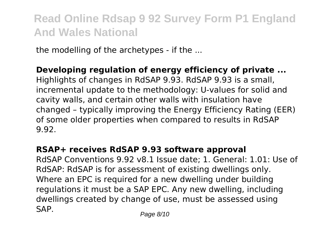the modelling of the archetypes - if the ...

### **Developing regulation of energy efficiency of private ...** Highlights of changes in RdSAP 9.93. RdSAP 9.93 is a small, incremental update to the methodology: U-values for solid and cavity walls, and certain other walls with insulation have changed – typically improving the Energy Efficiency Rating (EER) of some older properties when compared to results in RdSAP 9.92.

## **RSAP+ receives RdSAP 9.93 software approval**

RdSAP Conventions 9.92 v8.1 Issue date; 1. General: 1.01: Use of RdSAP: RdSAP is for assessment of existing dwellings only. Where an EPC is required for a new dwelling under building regulations it must be a SAP EPC. Any new dwelling, including dwellings created by change of use, must be assessed using SAP. Page 8/10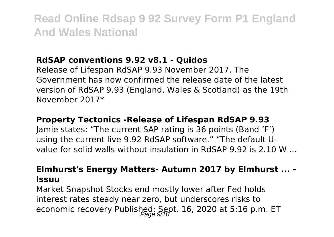## **RdSAP conventions 9.92 v8.1 - Quidos**

Release of Lifespan RdSAP 9.93 November 2017. The Government has now confirmed the release date of the latest version of RdSAP 9.93 (England, Wales & Scotland) as the 19th November 2017\*

### **Property Tectonics -Release of Lifespan RdSAP 9.93**

Jamie states: "The current SAP rating is 36 points (Band 'F') using the current live 9.92 RdSAP software." "The default Uvalue for solid walls without insulation in RdSAP 9.92 is 2.10 W

### **Elmhurst's Energy Matters- Autumn 2017 by Elmhurst ... - Issuu**

Market Snapshot Stocks end mostly lower after Fed holds interest rates steady near zero, but underscores risks to economic recovery Published: Sept. 16, 2020 at 5:16 p.m. ET